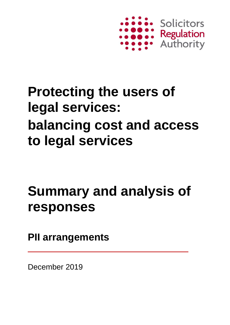

# **Protecting the users of legal services: balancing cost and access to legal services**

# **Summary and analysis of responses**

**PII arrangements**

December 2019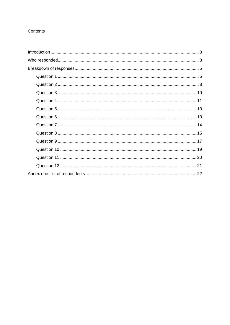### Contents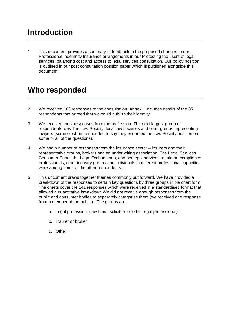# <span id="page-2-0"></span>**Introduction**

1 This document provides a summary of feedback to the proposed changes to our Professional Indemnity Insurance arrangements in our Protecting the users of legal services: balancing cost and access to legal services consultation. Our policy position is outlined in our post consultation position paper which is published alongside this document.

## <span id="page-2-1"></span>**Who responded**

- 2 We received 160 responses to the consultation. Annex 1 includes details of the 85 respondents that agreed that we could publish their identity.
- 3 We received most responses from the profession. The next largest group of respondents was The Law Society, local law societies and other groups representing lawyers (some of whom responded to say they endorsed the Law Society position on some or all of the questions).
- 4 We had a number of responses from the insurance sector insurers and their representative groups, brokers and an underwriting association. The Legal Services Consumer Panel, the Legal Ombudsman, another legal services regulator, compliance professionals, other industry groups and individuals in different professional capacities were among some of the other respondents.
- 5 This document draws together themes commonly put forward. We have provided a breakdown of the responses to certain key questions by three groups in pie chart form. The charts cover the 141 responses which were received in a standardised format that allowed a quantitative breakdown We did not receive enough responses from the public and consumer bodies to separately categorise them (we received one response from a member of the public). The groups are:
	- a. Legal profession: (law firms, solicitors or other legal professional)
	- b. Insurer or broker
	- c. Other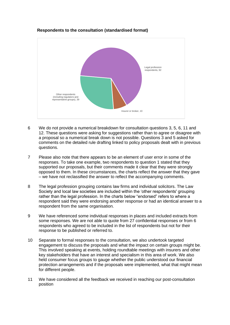

#### **Respondents to the consultation (standardised format)**

- 6 We do not provide a numerical breakdown for consultation questions 3, 5, 6, 11 and 12. These questions were asking for suggestions rather than to agree or disagree with a proposal so a numerical break down is not possible. Questions 3 and 5 asked for comments on the detailed rule drafting linked to policy proposals dealt with in previous questions.
- 7 Please also note that there appears to be an element of user error in some of the responses. To take one example, two respondents to question 1 stated that they supported our proposals, but their comments made it clear that they were strongly opposed to them. In these circumstances, the charts reflect the answer that they gave – we have not reclassified the answer to reflect the accompanying comments.
- 8 The legal profession grouping contains law firms and individual solicitors. The Law Society and local law societies are included within the 'other respondents' grouping rather than the legal profession. In the charts below "endorsed" refers to where a respondent said they were endorsing another response or had an identical answer to a respondent from the same organisation.
- 9 We have referenced some individual responses in places and included extracts from some responses. We are not able to quote from 27 confidential responses or from 6 respondents who agreed to be included in the list of respondents but not for their response to be published or referred to.
- 10 Separate to formal responses to the consultation, we also undertook targeted engagement to discuss the proposals and what the impact on certain groups might be. This involved speaking at events, holding roundtable meetings with insurers and other key stakeholders that have an interest and specialism in this area of work. We also held consumer focus groups to gauge whether the public understood our financial protection arrangements and if the proposals were implemented, what that might mean for different people.
- 11 We have considered all the feedback we received in reaching our post-consultation position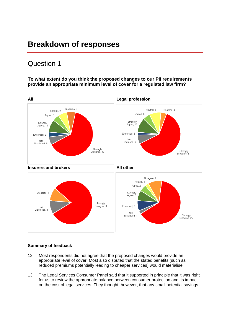## <span id="page-4-0"></span>**Breakdown of responses**

### <span id="page-4-1"></span>Question 1

### **To what extent do you think the proposed changes to our PII requirements provide an appropriate minimum level of cover for a regulated law firm?**



### **Summary of feedback**

- 12 Most respondents did not agree that the proposed changes would provide an appropriate level of cover. Most also disputed that the stated benefits (such as reduced premiums potentially leading to cheaper services) would materialise.
- 13 The Legal Services Consumer Panel said that it supported in principle that it was right for us to review the appropriate balance between consumer protection and its impact on the cost of legal services. They thought, however, that any small potential savings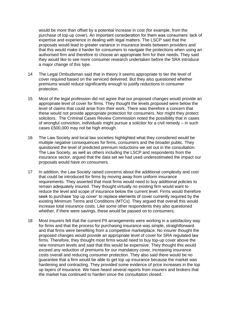would be more than offset by a potential increase in cost (for example, from the purchase of top-up cover). An important consideration for them was consumers' lack of expertise and experience in dealing with legal matters. The LSCP said that the proposals would lead to greater variance in insurance levels between providers and that this would make it harder for consumers to navigate the protections when using an authorised firm and therefore to choose an appropriate firm for their needs. They said they would like to see more consumer research undertaken before the SRA introduce a major change of this type.

- 14 The Legal Ombudsman said that in theory it seems appropriate to tier the level of cover required based on the serviced delivered. But they also questioned whether premiums would reduce significantly enough to justify reductions in consumer protection.
- 15 Most of the legal profession did not agree that our proposed changes would provide an appropriate level of cover for firms. They thought the levels proposed were below the level of claims that could arise from their work. There was therefore a concern that these would not provide appropriate protection for consumers. Nor might they protect solicitors. The Criminal Cases Review Commission noted the possibility that in cases of wrongful conviction, individuals might pursue a solicitor for a civil remedy – in such cases £500,000 may not be high enough.
- 16 The Law Society and local law societies highlighted what they considered would be multiple negative consequences for firms, consumers and the broader public. They questioned the level of predicted premium reductions we set out in the consultation. The Law Society, as well as others including the LSCP and respondents from the insurance sector, argued that the data set we had used underestimated the impact our proposals would have on consumers.
- 17 In addition, the Law Society raised concerns about the additional complexity and cost that could be introduced for firms by moving away from uniform insurance requirements. They asserted that most firms would need to buy additional policies to remain adequately insured. They thought virtually no existing firm would want to reduce the level and scope of insurance below the current level. Firms would therefore seek to purchase 'top up cover' to replace elements of cover currently required by the existing Minimum Terms and Conditions (MTCs). They argued that overall this would increase total insurance costs. Like some other respondents they also questioned whether, if there were savings, these would be passed on to consumers.
- 18 Most insurers felt that the current PII arrangements were working in a satisfactory way for firms and that the process for purchasing insurance was simple, straightforward and that firms were benefiting from a competitive marketplace. No insurer thought the proposed changes would provide an appropriate level of cover for SRA regulated law firms. Therefore, they thought most firms would need to buy top-up cover above the new minimum levels and said that this would be expensive. They thought this would exceed any reduction of premiums for our mandatory cover, increasing insurance costs overall and reducing consumer protection. They also said there would be no guarantee that a firm would be able to get top up insurance because the market was hardening and contracting. They provided some evidence of price increases in the top up layers of insurance. We have heard several reports from insurers and brokers that the market has continued to harden since the consultation closed.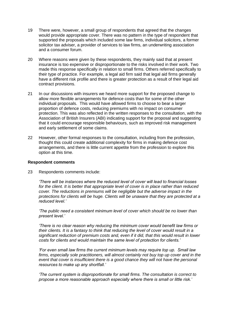- 19 There were, however, a small group of respondents that agreed that the changes would provide appropriate cover. There was no pattern in the type of respondent that supported the proposals which included some law firms, individual solicitors, a former solicitor tax adviser, a provider of services to law firms, an underwriting association and a consumer forum.
- 20 Where reasons were given by these respondents, they mainly said that at present insurance is too expensive or disproportionate to the risks involved in their work. Two made this response specifically in relation to small firms. Others referred specifically to their type of practice. For example, a legal aid firm said that legal aid firms generally have a different risk profile and there is greater protection as a result of their legal aid contract provisions.
- 21 In our discussions with insurers we heard more support for the proposed change to allow more flexible arrangements for defence costs than for some of the other individual proposals. This would have allowed firms to choose to bear a larger proportion of defence costs, reducing premiums with no impact on consumer protection. This was also reflected in the written responses to the consultation, with the Association of British Insurers (ABI) indicating support for the proposal and suggesting that it could encourage responsible behaviours, such as improved risk management and early settlement of some claims.
- 22 However, other formal responses to the consultation, including from the profession, thought this could create additional complexity for firms in making defence cost arrangements, and there is little current appetite from the profession to explore this option at this time.

#### **Respondent comments**

23 Respondents comments include:

*'There will be instances where the reduced level of cover will lead to financial losses for the client. It is better that appropriate level of cover is in place rather than reduced cover. The reductions in premiums will be negligible but the adverse impact in the protections for clients will be huge. Clients will be unaware that they are protected at a reduced level.'*

*'The public need a consistent minimum level of cover which should be no lower than present level.'*

*'There is no clear reason why reducing the minimum cover would benefit law firms or their clients. It is a fantasy to think that reducing the level of cover would result in a significant reduction of premium costs and, even if it did, that this would result in lower costs for clients and would maintain the same level of protection for clients.'*

*'For even small law firms the current minimum levels may require top up. Small law firms, especially sole practitioners, will almost certainly not buy top up cover and in the*  event that cover is insufficient there is a good chance they will not have the personal *resources to make up any shortfall.'*

*'The current system is disproportionate for small firms. The consultation is correct to propose a more reasonable approach especially where there is small or little risk.'*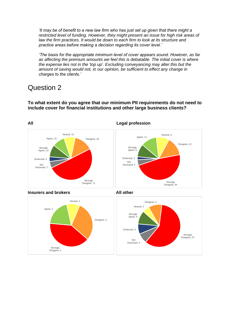*'It may be of benefit to a new law firm who has just set up given that there might a restricted level of funding. However, they might present an issue for high risk areas of*  law the firm practices. It would be down to each firm to look at its structure and *practice areas before making a decision regarding its cover level.'*

<span id="page-7-0"></span>*'The basis for the appropriate minimum level of cover appears sound. However, as far as affecting the premium amounts we feel this is debatable. The initial cover is where the expense lies not in the 'top up'. Excluding conveyancing may alter this but the amount of saving would not, in our opinion, be sufficient to effect any change in charges to the clients.'*

### Question 2

**To what extent do you agree that our minimum PII requirements do not need to include cover for financial institutions and other large business clients?**







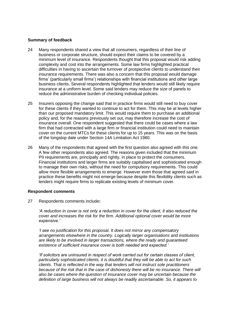#### **Summary of feedback**

- 24 Many respondents shared a view that all consumers, regardless of their line of business or corporate structure, should expect their claims to be covered by a minimum level of insurance. Respondents thought that this proposal would risk adding complexity and cost into the arrangements. Some law firms highlighted practical difficulties in having to ascertain the turnover of prospective clients to understand their insurance requirements. There was also a concern that this proposal would damage firms' (particularly small firms') relationships with financial institutions and other large business clients. Several respondents highlighted that lenders would still likely require insurance at a uniform level. Some said lenders may reduce the size of panels to reduce the administrative burden of checking individual policies.
- 25 Insurers opposing the change said that in practice firms would still need to buy cover for these clients if they wanted to continue to act for them. This may be at levels higher than our proposed mandatory limit. This would require them to purchase an additional policy and, for the reasons previously set out, may therefore increase the cost of insurance overall. One respondent suggested that there could be cases where a law firm that had contracted with a large firm or financial institution could need to maintain cover on the current MTCs for these clients for up to 15 years. This was on the basis of the longstop date under Section 14A Limitation Act 1980.
- 26 Many of the respondents that agreed with the first question also agreed with this one. A few other respondents also agreed. The reasons given included that the minimum PII requirements are, principally and rightly, in place to protect the consumers. Financial institutions and larger firms are suitably capitalised and sophisticated enough to manage their own risks, without the need for compulsory requirements. This could allow more flexible arrangements to emerge. However even those that agreed said in practice these benefits might not emerge because despite this flexibility clients such as lenders might require firms to replicate existing levels of minimum cover.

#### **Respondent comments**

27 Respondents comments include**:** 

*'A reduction in cover is not only a reduction in cover for the client, it also reduced the cover and increases the risk for the firm. Additional optional cover would be more expensive.'*

*'I see no justification for this proposal. It does not mirror any compensatory arrangements elsewhere in the country. Logically larger organisations and institutions are likely to be involved in larger transactions, where the ready and guaranteed existence of sufficient insurance cover is both needed and expected.'*

*'If solicitors are uninsured in respect of work carried out for certain classes of client, particularly sophisticated clients, it is doubtful that they will be able to act for such clients. That is reflected in the way that lenders will not instruct sole practitioners because of the risk that in the case of dishonesty there will be no insurance. There will also be cases where the question of insurance cover may be uncertain because the definition of large business will not always be readily ascertainable. So, it appears to*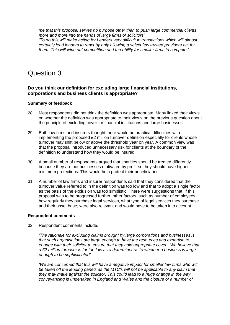*me that this proposal serves no purpose other than to push large commercial clients more and more into the hands of large firms of solicitors'*

*'To do this will make acting for Lenders very difficult in transactions which will almost certainly lead lenders to react by only allowing a select few trusted providers act for them. This will wipe out competition and the ability for smaller firms to compete.'*

### <span id="page-9-0"></span>Question 3

### **Do you think our definition for excluding large financial institutions, corporations and business clients is appropriate?**

### **Summary of feedback**

- 28 Most respondents did not think the definition was appropriate. Many linked their views on whether the definition was appropriate to their views on the previous question about the principle of excluding cover for financial institutions and large businesses.
- 29 Both law firms and insurers thought there would be practical difficulties with implementing the proposed £2 million turnover definition especially for clients whose turnover may shift below or above the threshold year on year. A common view was that the proposal introduced unnecessary risk for clients at the boundary of the definition to understand how they would be insured.
- 30 A small number of respondents argued that charities should be treated differently because they are not businesses motivated by profit so they should have higher minimum protections. This would help protect their beneficiaries
- 31 A number of law firms and insurer respondents said that they considered that the turnover value referred to in the definition was too low and that to adopt a single factor as the basis of the exclusion was too simplistic. There were suggestions that, if this proposal was to be progressed further, other factors, such as number of employees, how regularly they purchase legal services, what type of legal services they purchase and their asset base, were also relevant and would have to be taken into account.

#### **Respondent comments**

32 Respondent comments include**:**

*'The rationale for excluding claims brought by large corporations and businesses is that such organisations are large enough to have the resources and expertise to engage with their solicitor to ensure that they hold appropriate cover. We believe that a £2 million turnover is far too low as a determiner as to whether a business is large enough to be sophisticated'.*

*'We are concerned that this will have a negative impact for smaller law firms who will be taken off the lending panels as the MTC's will not be applicable to any claim that they may make against the solicitor. This could lead to a huge change in the way conveyancing is undertaken in England and Wales and the closure of a number of*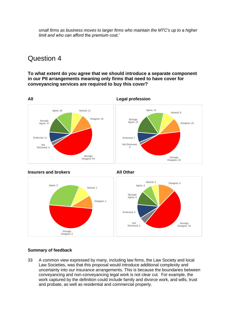*small firms as business moves to larger firms who maintain the MTC's up to a higher limit and who can afford the premium cost.'*

### <span id="page-10-0"></span>Question 4

**To what extent do you agree that we should introduce a separate component in our PII arrangements meaning only firms that need to have cover for conveyancing services are required to buy this cover?**







### **Summary of feedback**

33 A common view expressed by many, including law firms, the Law Society and local Law Societies, was that this proposal would introduce additional complexity and uncertainty into our insurance arrangements. This is because the boundaries between conveyancing and non-conveyancing legal work is not clear cut. For example, the work captured by the definition could include family and divorce work, and wills, trust and probate, as well as residential and commercial property.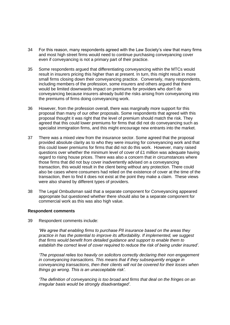- 34 For this reason, many respondents agreed with the Law Society's view that many firms and most high street firms would need to continue purchasing conveyancing cover even if conveyancing is not a primary part of their practice.
- 35 Some respondents argued that differentiating conveyancing within the MTCs would result in insurers pricing this higher than at present. In turn, this might result in more small firms closing down their conveyancing practice. Conversely, many respondents, including members of the profession, some insurers and others argued that there would be limited downwards impact on premiums for providers who don't do conveyancing because insurers already build the risks arising from conveyancing into the premiums of firms doing conveyancing work.
- 36 However, from the profession overall, there was marginally more support for this proposal than many of our other proposals. Some respondents that agreed with this proposal thought it was right that the level of premium should match the risk. They agreed that this could lower premiums for firms that did not do conveyancing such as specialist immigration firms, and this might encourage new entrants into the market.
- 37 There was a mixed view from the insurance sector. Some agreed that the proposal provided absolute clarity as to who they were insuring for conveyancing work and that this could lower premiums for firms that did not do this work. However, many raised questions over whether the minimum level of cover of £1 million was adequate having regard to rising house prices. There was also a concern that in circumstances where those firms that did not buy cover inadvertently advised on a conveyancing transaction, this would result in the client being without any protection. There could also be cases where consumers had relied on the existence of cover at the time of the transaction, then to find it does not exist at the point they make a claim. These views were also shared by different types of providers.
- 38 The Legal Ombudsman said that a separate component for Conveyancing appeared appropriate but questioned whether there should also be a separate component for commercial work as this was also high value.

#### **Respondent comments**

39 Respondent comments include:

*'We agree that enabling firms to purchase PII insurance based on the areas they practice in has the potential to improve its affordability. If implemented, we suggest that firms would benefit from detailed guidance and support to enable them to establish the correct level of cover required to reduce the risk of being under insured'.*

*'The proposal relies too heavily on solicitors correctly declaring their non engagement in conveyancing transactions. This means that if they subsequently engage in conveyancing transactions, then their clients will not be covered for their losses when things go wrong. This is an unacceptable risk'.*

*'The definition of conveyancing is too broad and firms that deal on the fringes on an irregular basis would be strongly disadvantaged'.*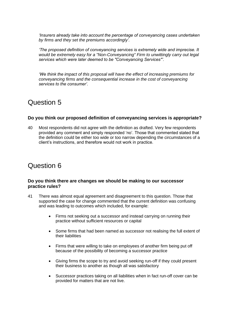*'Insurers already take into account the percentage of conveyancing cases undertaken by firms and they set the premiums accordingly'.*

*'The proposed definition of conveyancing services is extremely wide and imprecise. It would be extremely easy for a "Non-Conveyancing" Firm to unwittingly carry out legal services which were later deemed to be "Conveyancing Services"'.*

*'We think the impact of this proposal will have the effect of increasing premiums for conveyancing firms and the consequential increase in the cost of conveyancing services to the consumer'.*

### <span id="page-12-0"></span>Question 5

### **Do you think our proposed definition of conveyancing services is appropriate?**

40 Most respondents did not agree with the definition as drafted. Very few respondents provided any comment and simply responded 'no'. Those that commented stated that the definition could be either too wide or too narrow depending the circumstances of a client's instructions, and therefore would not work in practice.

### <span id="page-12-1"></span>Question 6

### **Do you think there are changes we should be making to our successor practice rules?**

- 41 There was almost equal agreement and disagreement to this question. Those that supported the case for change commented that the current definition was confusing and was leading to outcomes which included, for example:
	- Firms not seeking out a successor and instead carrying on running their practice without sufficient resources or capital
	- Some firms that had been named as successor not realising the full extent of their liabilities
	- Firms that were willing to take on employees of another firm being put off because of the possibility of becoming a successor practice
	- Giving firms the scope to try and avoid seeking run-off if they could present their business to another as though all was satisfactory
	- Successor practices taking on all liabilities when in fact run-off cover can be provided for matters that are not live.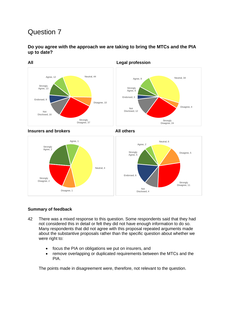

<span id="page-13-0"></span>**Do you agree with the approach we are taking to bring the MTCs and the PIA up to date?**

Strongly Agree, 5 Agree, 2 Neutral, 6 Disagree, 5 Strongly Disagree, 11 Not Disclosed, 4 Endorsed, 6 Strongly Agree, 2 Agree, 1 Neutral, 4 Disagree, 1 Strongly Disagree, 2

### **Summary of feedback**

- 42 There was a mixed response to this question. Some respondents said that they had not considered this in detail or felt they did not have enough information to do so. Many respondents that did not agree with this proposal repeated arguments made about the substantive proposals rather than the specific question about whether we were right to:
	- focus the PIA on obligations we put on insurers, and
	- remove overlapping or duplicated requirements between the MTCs and the PIA.

The points made in disagreement were, therefore, not relevant to the question.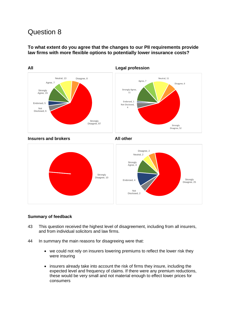<span id="page-14-0"></span>**To what extent do you agree that the changes to our PII requirements provide law firms with more flexible options to potentially lower insurance costs?**



Strongly Disagree, 25 Not Disclosed, 2 Endorsed, 4

### **Summary of feedback**

- 43 This question received the highest level of disagreement, including from all insurers, and from individual solicitors and law firms.
- 44 In summary the main reasons for disagreeing were that:
	- we could not rely on insurers lowering premiums to reflect the lower risk they were insuring
	- insurers already take into account the risk of firms they insure, including the expected level and frequency of claims. If there were any premium reductions, these would be very small and not material enough to effect lower prices for consumers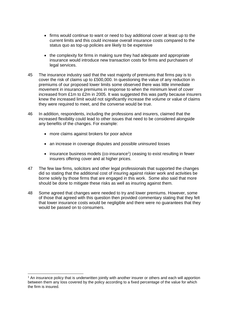- firms would continue to want or need to buy additional cover at least up to the current limits and this could increase overall insurance costs compared to the status quo as top-up policies are likely to be expensive
- the complexity for firms in making sure they had adequate and appropriate insurance would introduce new transaction costs for firms and purchasers of legal services.
- 45 The insurance industry said that the vast majority of premiums that firms pay is to cover the risk of claims up to £500,000. In questioning the value of any reduction in premiums of our proposed lower limits some observed there was little immediate movement in insurance premiums in response to when the minimum level of cover increased from £1m to £2m in 2005. It was suggested this was partly because insurers knew the increased limit would not significantly increase the volume or value of claims they were required to meet, and the converse would be true.
- 46 In addition, respondents, including the professions and insurers, claimed that the increased flexibility could lead to other issues that need to be considered alongside any benefits of the changes. For example:
	- more claims against brokers for poor advice
	- an increase in coverage disputes and possible uninsured losses
	- insurance business models (co-insurance<sup>1</sup>) ceasing to exist resulting in fewer insurers offering cover and at higher prices.
- 47 The few law firms, solicitors and other legal professionals that supported the changes did so stating that the additional cost of insuring against riskier work and activities be borne solely by those firms that are engaged in this work. Some also said that more should be done to mitigate these risks as well as insuring against them.
- 48 Some agreed that changes were needed to try and lower premiums. However, some of those that agreed with this question then provided commentary stating that they felt that lower insurance costs would be negligible and there were no guarantees that they would be passed on to consumers.

<sup>1</sup> An insurance policy that is underwritten jointly with another insurer or others and each will apportion between them any loss covered by the policy according to a fixed percentage of the value for which the firm is insured.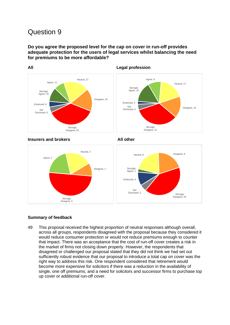### <span id="page-16-0"></span>**Do you agree the proposed level for the cap on cover in run-off provides adequate protection for the users of legal services whilst balancing the need for premiums to be more affordable?**



#### **All Legal profession**

#### **Insurers and brokers** All other



### **Summary of feedback**

49 This proposal received the highest proportion of neutral responses although overall, across all groups, respondents disagreed with the proposal because they considered it would reduce consumer protection or would not reduce premiums enough to counter that impact. There was an acceptance that the cost of run-off cover creates a risk in the market of firms not closing down properly. However, the respondents that disagreed or challenged our proposal stated that they did not think we had set out sufficiently robust evidence that our proposal to introduce a total cap on cover was the right way to address this risk. One respondent considered that retirement would become more expensive for solicitors if there was a reduction in the availability of single, one off premiums, and a need for solicitors and successor firms to purchase top up cover or additional run-off cover.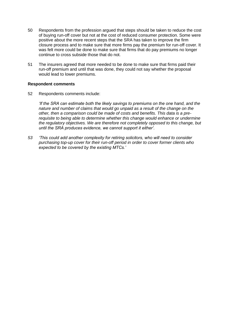- 50 Respondents from the profession argued that steps should be taken to reduce the cost of buying run-off cover but not at the cost of reduced consumer protection. Some were positive about the more recent steps that the SRA has taken to improve the firm closure process and to make sure that more firms pay the premium for run-off cover. It was felt more could be done to make sure that firms that do pay premiums no longer continue to cross subside those that do not.
- 51 The insurers agreed that more needed to be done to make sure that firms paid their run-off premium and until that was done, they could not say whether the proposal would lead to lower premiums.

#### **Respondent comments**

52 Respondents comments include:

*'If the SRA can estimate both the likely savings to premiums on the one hand, and the nature and number of claims that would go unpaid as a result of the change on the other, then a comparison could be made of costs and benefits. This data is a prerequisite to being able to determine whether this change would enhance or undermine the regulatory objectives. We are therefore not completely opposed to this change, but until the SRA produces evidence, we cannot support it either'.*

*53 'This could add another complexity for retiring solicitors, who will need to consider purchasing top-up cover for their run-off period in order to cover former clients who expected to be covered by the existing MTCs.'*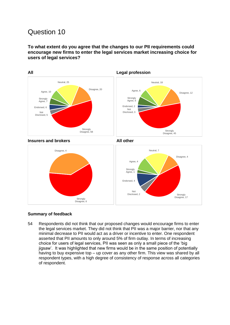<span id="page-18-0"></span>**To what extent do you agree that the changes to our PII requirements could encourage new firms to enter the legal services market increasing choice for users of legal services?**



### **Summary of feedback**

54 Respondents did not think that our proposed changes would encourage firms to enter the legal services market. They did not think that PII was a major barrier, nor that any minimal decrease to PII would act as a driver or incentive to enter. One respondent asserted that PII amounts to only around 5% of firm outlay. In terms of increasing choice for users of legal services, PII was seen as only a small piece of the 'big jigsaw'. It was highlighted that new firms would be in the same position of potentially having to buy expensive top – up cover as any other firm. This view was shared by all respondent types, with a high degree of consistency of response across all categories of respondent.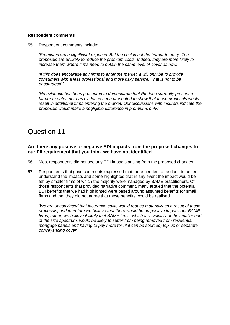#### **Respondent comments**

55 Respondent comments include:

*'Premiums are a significant expense. But the cost is not the barrier to entry. The proposals are unlikely to reduce the premium costs. Indeed, they are more likely to increase them where firms need to obtain the same level of cover as now.'*

*'If this does encourage any firms to enter the market, it will only be to provide consumers with a less professional and more risky service. That is not to be encouraged.'*

*'No evidence has been presented to demonstrate that PII does currently present a barrier to entry, nor has evidence been presented to show that these proposals would result in additional firms entering the market. Our discussions with insurers indicate the proposals would make a negligible difference in premiums only.'*

### <span id="page-19-0"></span>Question 11

### **Are there any positive or negative EDI impacts from the proposed changes to our PII requirement that you think we have not identified**

- 56 Most respondents did not see any EDI impacts arising from the proposed changes.
- 57 Respondents that gave comments expressed that more needed to be done to better understand the impacts and some highlighted that in any event the impact would be felt by smaller firms of which the majority were managed by BAME practitioners. Of those respondents that provided narrative comment, many argued that the potential EDI benefits that we had highlighted were based around assumed benefits for small firms and that they did not agree that these benefits would be realised.

*'We are unconvinced that insurance costs would reduce materially as a result of these proposals, and therefore we believe that there would be no positive impacts for BAME firms; rather, we believe it likely that BAME firms, which are typically at the smaller end of the size spectrum, would be likely to suffer from being removed from residential mortgage panels and having to pay more for (if it can be sourced) top-up or separate conveyancing cover.'*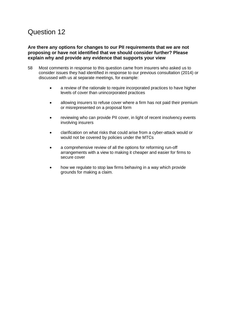### <span id="page-20-0"></span>**Are there any options for changes to our PII requirements that we are not proposing or have not identified that we should consider further? Please explain why and provide any evidence that supports your view**

- 58 Most comments in response to this question came from insurers who asked us to consider issues they had identified in response to our previous consultation (2014) or discussed with us at separate meetings, for example:
	- a review of the rationale to require incorporated practices to have higher levels of cover than unincorporated practices
	- allowing insurers to refuse cover where a firm has not paid their premium or misrepresented on a proposal form
	- reviewing who can provide PII cover, in light of recent insolvency events involving insurers
	- clarification on what risks that could arise from a cyber-attack would or would not be covered by policies under the MTCs
	- a comprehensive review of all the options for reforming run-off arrangements with a view to making it cheaper and easier for firms to secure cover
	- how we regulate to stop law firms behaving in a way which provide grounds for making a claim.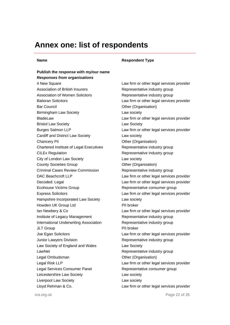### <span id="page-21-0"></span>**Annex one: list of respondents**

### **Publish the response with my/our name** *Responses from organisations* 4 New Square Law firm or other legal services provider Association of British Insurers **Representative industry group** Association of Women Solicitors **Representative industry group** Bailoran Solicitors Law firm or other legal services provider Bar Council **Districts** Council **Contract Contract Contract Contract Contract Contract Contract Contract Contract Contract Contract Contract Contract Contract Contract Contract Contract Contract Contract Contract Contract** Birmingham Law Society **Law society Law society** BladeLaw Law firm or other legal services provider Bristol Law Society **Law Society** Law Society Burges Salmon LLP **Law firm or other legal services provider** Cardiff and District Law Society Law society Chancery Pii Chartered Institute of Legal Executives CILEx Regulation **CILEX** Representative industry group City of London Law Society **Law Society** Law society County Societies Group County Societies Group Criminal Cases Review Commission Representative industry group DAC Beachcroft LLP Law firm or other legal services provider Decoded: Legal **Law firm or other legal services provider** Ecohouse Victims Group **Representative consumer group** Express Solicitors Law firm or other legal services provider Hampshire Incorporated Law Society Law society Howden UK Group Ltd **PII broker** Ian Newbery & Co **Law firm or other legal services provider** Institute of Legacy Management Representative industry group International Underwriting Association Representative industry group JLT Group **PII** broker Joe Egan Solicitors Law firm or other legal services provider Junior Lawyers Division **Exercise 20** Representative industry group Law Society of England and Wales Law Society LawNet **LawNet Representative industry group** Legal Ombudsman Charles Companisation Companisation Cher (Organisation) Legal Risk LLP **Law firm or other legal services provider** Legal Services Consumer Panel **Representative consumer group** Leicestershire Law Society **Law Society** Law society Liverpool Law Society **Law Society** Law society Lloyd Rehman & Co. Law firm or other legal services provider

#### **Name Respondent Type**

Other (Organisation) Representative industry group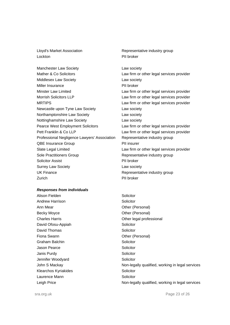Lloyd's Market Association **Representative industry group** Lockton PII broker

Manchester Law Society **Law society** Law society Mather & Co Solicitors **Law firm or other legal services provider** Middlesex Law Society **Law society** Law society Miller Insurance PII broker Minster Law Limited Law firm or other legal services provider Morrish Solicitors LLP Law firm or other legal services provider MRTIPS Law firm or other legal services provider Newcastle upon Tyne Law Society **Law Society** Northamptonshire Law Society **Law society** Nottinghamshire Law Society **Law Society** Pearce West Employment Solicitors Law firm or other legal services provider Pett Franklin & Co LLP Law firm or other legal services provider Professional Negligence Lawyers' Association Representative industry group QBE Insurance Group **PII** insurer Slate Legal Limited Law firm or other legal services provider Sole Practitioners Group **Representative industry group** Solicitor Assist **PII** broker Surrey Law Society **Law Society Law society** UK Finance **Representative industry group** Zurich **PII** broker

#### *Responses from individuals*

Alison Fielden **Solicitor** Solicitor Andrew Harrison Solicitor Ann Mear **Other (Personal)** Becky Moyce **Disk Community** Other (Personal) David Ofosu-Appiah Solicitor David Thomas Solicitor Fiona Swann **Communist Communist Communist Communist Communist Communist Communist Communist Communist Communist Communist Communist Communist Communist Communist Communist Communist Communist Communist Communist Communist** Graham Balchin Solicitor Jason Pearce **Solicitor** Solicitor Janis Purdy **Solicitor** Solicitor Jennifer Woodyard **Solicitor** Solicitor Klearchos Kyriakides **Solicitor** Solicitor Laurence Mann Solicitor

Charles Harris **Charles Harris** Charles **Harris** Charles **Harris** Charles **Harris** Charles **Charles** Charles **Harris** Charles **Charles** Charles **Harris** Charles **Charles** Charles **Charles** Charles **Charles** Charles **Charle** John S Mackay **Non-legally qualified, working in legal services** Leigh Price Non-legally qualified, working in legal services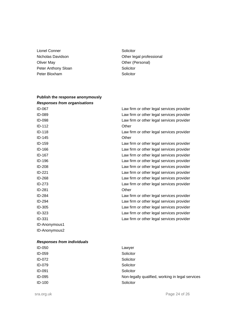- Lionel Conner Solicitor Oliver May **Other (Personal)** Peter Anthony Sloan Solicitor Peter Bloxham Solicitor
- Nicholas Davidson **Nicholas Davidson Other legal professional**

| Publish the response anonymously    |                                           |
|-------------------------------------|-------------------------------------------|
| <b>Responses from organisations</b> |                                           |
| ID-067                              | Law firm or other legal services provider |
| ID-089                              | Law firm or other legal services provider |
| ID-098                              | Law firm or other legal services provider |
| ID-112                              | Other                                     |
| ID-118                              | Law firm or other legal services provider |
| ID-145                              | Other                                     |
| $ID-159$                            | Law firm or other legal services provider |
| ID-166                              | Law firm or other legal services provider |
| ID-167                              | Law firm or other legal services provider |
| $ID-196$                            | Law firm or other legal services provider |
| <b>ID-208</b>                       | Law firm or other legal services provider |
| ID-221                              | Law firm or other legal services provider |
| ID-268                              | Law firm or other legal services provider |
| ID-273                              | Law firm or other legal services provider |
| $ID-281$                            | Other                                     |
| ID-284                              | Law firm or other legal services provider |
| ID-294                              | Law firm or other legal services provider |
| ID-305                              | Law firm or other legal services provider |
| ID-323                              | Law firm or other legal services provider |
| ID-331                              | Law firm or other legal services provider |
| ID-Anonymous1                       |                                           |
| ID-Anonymous2                       |                                           |
|                                     |                                           |

### *Responses from individuals*

| ID-050 | Lawyer                                           |
|--------|--------------------------------------------------|
| ID-059 | Solicitor                                        |
| ID-072 | Solicitor                                        |
| ID-079 | Solicitor                                        |
| ID-091 | Solicitor                                        |
| ID-095 | Non-legally qualified, working in legal services |
| ID-100 | Solicitor                                        |
|        |                                                  |